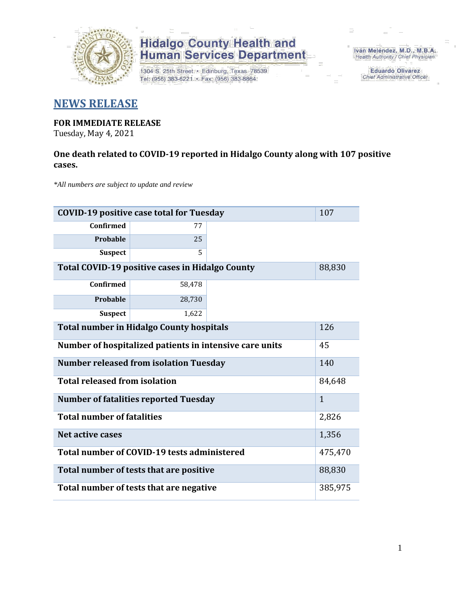

# **Hidalgo County Health and<br>Human Services Department**

1304 S. 25th Street · Edinburg, Texas 78539 Tel: (956) 383-6221 · Fax: (956) 383-8864

Iván Meléndez, M.D., M.B.A. Health Authority / Chief Physician

> **Eduardo Olivarez** Chief Administrative Officer

### **NEWS RELEASE**

### **FOR IMMEDIATE RELEASE**

Tuesday, May 4, 2021

#### **One death related to COVID-19 reported in Hidalgo County along with 107 positive cases.**

*\*All numbers are subject to update and review*

| 107<br><b>COVID-19 positive case total for Tuesday</b>  |              |        |  |  |
|---------------------------------------------------------|--------------|--------|--|--|
| <b>Confirmed</b>                                        | 77           |        |  |  |
| Probable                                                | 25           |        |  |  |
| <b>Suspect</b>                                          | 5            |        |  |  |
| Total COVID-19 positive cases in Hidalgo County         |              | 88,830 |  |  |
| <b>Confirmed</b>                                        | 58,478       |        |  |  |
| Probable                                                | 28,730       |        |  |  |
| <b>Suspect</b>                                          | 1,622        |        |  |  |
| <b>Total number in Hidalgo County hospitals</b>         | 126          |        |  |  |
| Number of hospitalized patients in intensive care units | 45           |        |  |  |
| <b>Number released from isolation Tuesday</b><br>140    |              |        |  |  |
| <b>Total released from isolation</b>                    | 84,648       |        |  |  |
| <b>Number of fatalities reported Tuesday</b>            | $\mathbf{1}$ |        |  |  |
| <b>Total number of fatalities</b>                       | 2,826        |        |  |  |
| Net active cases                                        | 1,356        |        |  |  |
| Total number of COVID-19 tests administered             | 475,470      |        |  |  |
| Total number of tests that are positive                 | 88,830       |        |  |  |
| Total number of tests that are negative                 |              |        |  |  |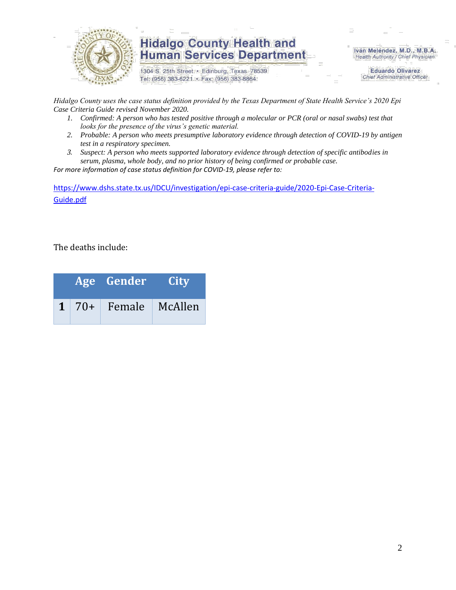

### **Hidalgo County Health and Human Services Department**

1304 S. 25th Street · Edinburg, Texas 78539 Tel: (956) 383-6221 · Fax: (956) 383-8864

Iván Meléndez, M.D., M.B.A. Health Authority / Chief Physician

> **Eduardo Olivarez Chief Administrative Officer**

*Hidalgo County uses the case status definition provided by the Texas Department of State Health Service's 2020 Epi Case Criteria Guide revised November 2020.*

- *1. Confirmed: A person who has tested positive through a molecular or PCR (oral or nasal swabs) test that looks for the presence of the virus's genetic material.*
- *2. Probable: A person who meets presumptive laboratory evidence through detection of COVID-19 by antigen test in a respiratory specimen.*
- *3. Suspect: A person who meets supported laboratory evidence through detection of specific antibodies in serum, plasma, whole body, and no prior history of being confirmed or probable case.*

*For more information of case status definition for COVID-19, please refer to:*

[https://www.dshs.state.tx.us/IDCU/investigation/epi-case-criteria-guide/2020-Epi-Case-Criteria-](https://www.dshs.state.tx.us/IDCU/investigation/epi-case-criteria-guide/2020-Epi-Case-Criteria-Guide.pdf)[Guide.pdf](https://www.dshs.state.tx.us/IDCU/investigation/epi-case-criteria-guide/2020-Epi-Case-Criteria-Guide.pdf)

The deaths include:

|  | Age Gender City             |  |
|--|-----------------------------|--|
|  | $1 \mid 70+$ Female McAllen |  |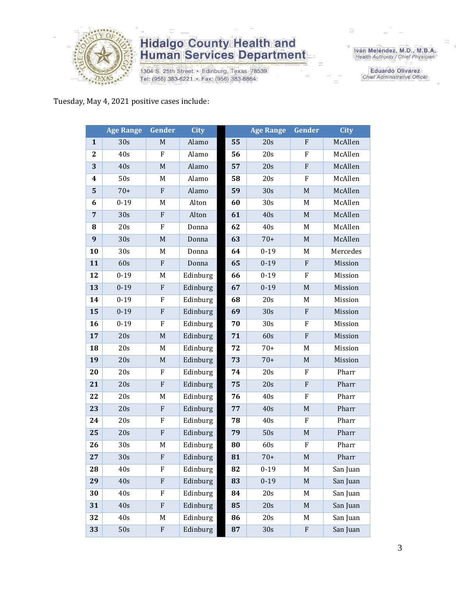

## **Hidalgo County Health and<br>Human Services Department**

1304 S. 25th Street · Edinburg, Texas 78539 Tel: (956) 383-6221 · Fax: (956) 383-8864

Iván Meléndez, M.D., M.B.A.<br>Health Authority / Chief Physician

**Eduardo Olivarez** Chief Administrative Officer

Tuesday, May 4, 2021 positive cases include:

|                | <b>Age Range</b> | Gender                    | <b>City</b> |    | <b>Age Range</b> | Gender                    | <b>City</b> |
|----------------|------------------|---------------------------|-------------|----|------------------|---------------------------|-------------|
| $\mathbf{1}$   | 30s              | $\mathbf M$               | Alamo       | 55 | 20s              | $\mathbf F$               | McAllen     |
| $\mathbf{2}$   | 40s              | ${\bf F}$                 | Alamo       | 56 | 20s              | ${\bf F}$                 | McAllen     |
| 3              | 40s              | $\mathbf M$               | Alamo       | 57 | 20s              | ${\bf F}$                 | McAllen     |
| 4              | 50s              | M                         | Alamo       | 58 | 20s              | F                         | McAllen     |
| 5              | $70+$            | ${\bf F}$                 | Alamo       | 59 | 30s              | M                         | McAllen     |
| 6              | $0 - 19$         | M                         | Alton       | 60 | 30s              | M                         | McAllen     |
| $\overline{7}$ | 30s              | ${\bf F}$                 | Alton       | 61 | 40s              | M                         | McAllen     |
| 8              | 20s              | $\boldsymbol{\mathrm{F}}$ | Donna       | 62 | 40s              | M                         | McAllen     |
| 9              | 30s              | M                         | Donna       | 63 | $70+$            | $\mathbf M$               | McAllen     |
| 10             | 30s              | M                         | Donna       | 64 | $0 - 19$         | M                         | Mercedes    |
| 11             | 60s              | $\mathbf{F}$              | Donna       | 65 | $0 - 19$         | ${\bf F}$                 | Mission     |
| 12             | $0 - 19$         | M                         | Edinburg    | 66 | $0 - 19$         | ${\bf F}$                 | Mission     |
| 13             | $0 - 19$         | ${\bf F}$                 | Edinburg    | 67 | $0 - 19$         | $\mathbf M$               | Mission     |
| 14             | $0 - 19$         | F                         | Edinburg    | 68 | 20s              | M                         | Mission     |
| 15             | $0 - 19$         | ${\bf F}$                 | Edinburg    | 69 | 30s              | ${\bf F}$                 | Mission     |
| 16             | $0 - 19$         | F                         | Edinburg    | 70 | 30s              | ${\bf F}$                 | Mission     |
| 17             | 20s              | $\mathbf M$               | Edinburg    | 71 | 60s              | ${\bf F}$                 | Mission     |
| 18             | 20s              | M                         | Edinburg    | 72 | $70+$            | M                         | Mission     |
| 19             | 20s              | $\mathbf M$               | Edinburg    | 73 | $70+$            | $\mathbf M$               | Mission     |
| 20             | 20s              | F                         | Edinburg    | 74 | 20s              | ${\bf F}$                 | Pharr       |
| 21             | 20s              | $\mathbf{F}$              | Edinburg    | 75 | 20s              | ${\bf F}$                 | Pharr       |
| 22             | 20s              | M                         | Edinburg    | 76 | 40s              | $\boldsymbol{\mathrm{F}}$ | Pharr       |
| 23             | 20s              | ${\bf F}$                 | Edinburg    | 77 | 40s              | $\mathbf M$               | Pharr       |
| 24             | 20s              | $\rm F$                   | Edinburg    | 78 | 40s              | F                         | Pharr       |
| 25             | 20s              | ${\bf F}$                 | Edinburg    | 79 | 50s              | $\mathbf M$               | Pharr       |
| 26             | 30s              | $\mathbf M$               | Edinburg    | 80 | 60s              | ${\bf F}$                 | Pharr       |
| 27             | 30s              | ${\bf F}$                 | Edinburg    | 81 | $70+$            | $\mathbf M$               | Pharr       |
| 28             | 40s              | F                         | Edinburg    | 82 | $0 - 19$         | M                         | San Juan    |
| 29             | 40s              | ${\bf F}$                 | Edinburg    | 83 | $0 - 19$         | $\mathbf M$               | San Juan    |
| 30             | 40s              | F                         | Edinburg    | 84 | 20s              | M                         | San Juan    |
| 31             | 40s              | ${\bf F}$                 | Edinburg    | 85 | 20s              | $\mathbf M$               | San Juan    |
| 32             | 40s              | M                         | Edinburg    | 86 | 20s              | M                         | San Juan    |
| 33             | 50s              | ${\bf F}$                 | Edinburg    | 87 | 30s              | ${\bf F}$                 | San Juan    |